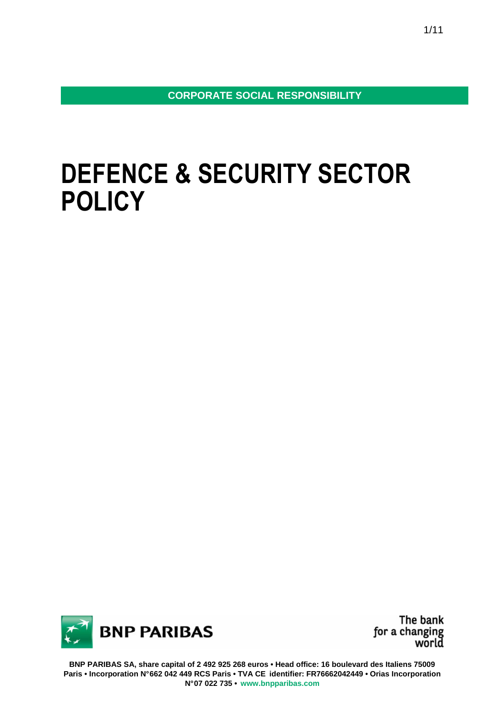**CORPORATE SOCIAL RESPONSIBILITY** 

# **DEFENCE & SECURITY SECTOR POLICY**



The bank for a changing<br>world

**BNP PARIBAS SA, share capital of 2 492 925 268 euros • Head office: 16 boulevard des Italiens 75009 Paris • Incorporation N° 662 042 449 RCS Paris • TVA CE identifier: FR76662042449 • Orias Incorporation N° 07 022 735 • www.bnpparibas.com**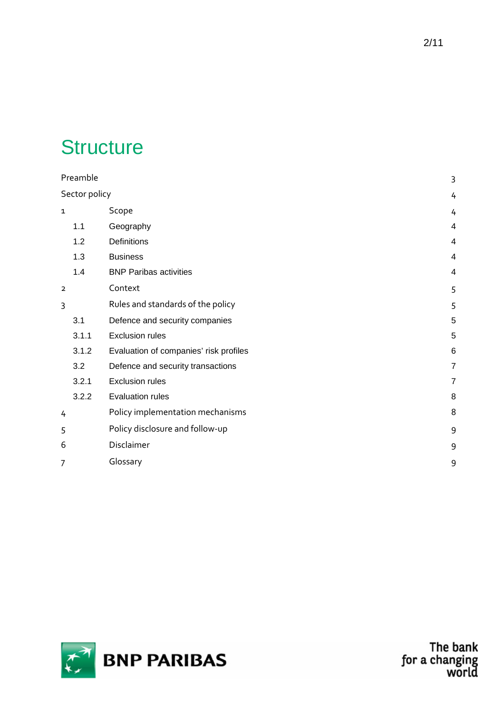# **Structure**

| Preamble       |       |                                        | 3              |
|----------------|-------|----------------------------------------|----------------|
| Sector policy  |       | 4                                      |                |
| $\mathbf{1}$   |       | Scope                                  | 4              |
|                | 1.1   | Geography                              | 4              |
|                | 1.2   | Definitions                            | 4              |
|                | 1.3   | <b>Business</b>                        | 4              |
|                | 1.4   | <b>BNP Paribas activities</b>          | 4              |
| $\overline{2}$ |       | Context                                | 5              |
| 3              |       | Rules and standards of the policy      | 5              |
|                | 3.1   | Defence and security companies         | 5              |
|                | 3.1.1 | <b>Exclusion rules</b>                 | 5              |
|                | 3.1.2 | Evaluation of companies' risk profiles | 6              |
|                | 3.2   | Defence and security transactions      | $\overline{7}$ |
|                | 3.2.1 | <b>Exclusion rules</b>                 | $\overline{7}$ |
|                | 3.2.2 | <b>Evaluation rules</b>                | 8              |
| 4              |       | Policy implementation mechanisms       | 8              |
| 5              |       | Policy disclosure and follow-up        | 9              |
| 6              |       | Disclaimer                             | 9              |
| 7              |       | Glossary                               | 9              |
|                |       |                                        |                |



The bank<br>for a changing<br>world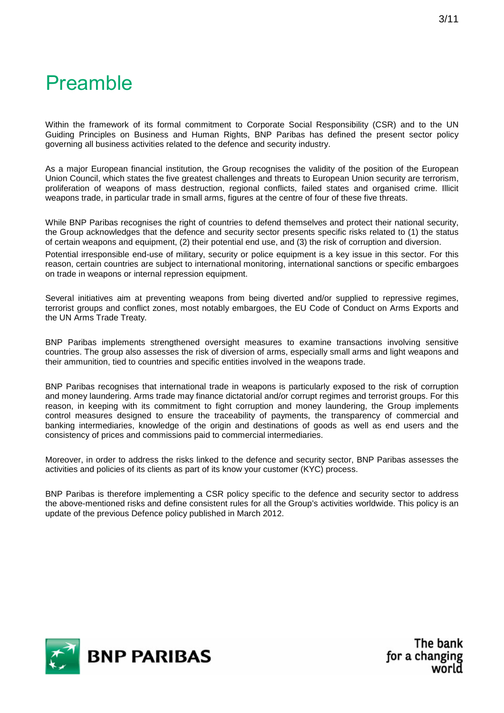## Preamble

Within the framework of its formal commitment to Corporate Social Responsibility (CSR) and to the UN Guiding Principles on Business and Human Rights, BNP Paribas has defined the present sector policy governing all business activities related to the defence and security industry.

As a major European financial institution, the Group recognises the validity of the position of the European Union Council, which states the five greatest challenges and threats to European Union security are terrorism, proliferation of weapons of mass destruction, regional conflicts, failed states and organised crime. Illicit weapons trade, in particular trade in small arms, figures at the centre of four of these five threats.

While BNP Paribas recognises the right of countries to defend themselves and protect their national security, the Group acknowledges that the defence and security sector presents specific risks related to (1) the status of certain weapons and equipment, (2) their potential end use, and (3) the risk of corruption and diversion.

Potential irresponsible end-use of military, security or police equipment is a key issue in this sector. For this reason, certain countries are subject to international monitoring, international sanctions or specific embargoes on trade in weapons or internal repression equipment.

Several initiatives aim at preventing weapons from being diverted and/or supplied to repressive regimes, terrorist groups and conflict zones, most notably embargoes, the EU Code of Conduct on Arms Exports and the UN Arms Trade Treaty.

BNP Paribas implements strengthened oversight measures to examine transactions involving sensitive countries. The group also assesses the risk of diversion of arms, especially small arms and light weapons and their ammunition, tied to countries and specific entities involved in the weapons trade.

BNP Paribas recognises that international trade in weapons is particularly exposed to the risk of corruption and money laundering. Arms trade may finance dictatorial and/or corrupt regimes and terrorist groups. For this reason, in keeping with its commitment to fight corruption and money laundering, the Group implements control measures designed to ensure the traceability of payments, the transparency of commercial and banking intermediaries, knowledge of the origin and destinations of goods as well as end users and the consistency of prices and commissions paid to commercial intermediaries.

Moreover, in order to address the risks linked to the defence and security sector, BNP Paribas assesses the activities and policies of its clients as part of its know your customer (KYC) process.

BNP Paribas is therefore implementing a CSR policy specific to the defence and security sector to address the above-mentioned risks and define consistent rules for all the Group's activities worldwide. This policy is an update of the previous Defence policy published in March 2012.

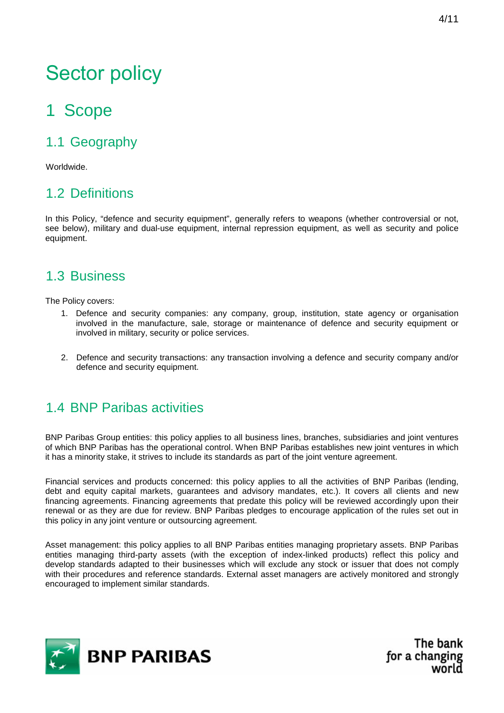# Sector policy

## 1 Scope

## 1.1 Geography

Worldwide.

### 1.2 Definitions

In this Policy, "defence and security equipment", generally refers to weapons (whether controversial or not, see below), military and dual-use equipment, internal repression equipment, as well as security and police equipment.

#### 1.3 Business

The Policy covers:

- 1. Defence and security companies: any company, group, institution, state agency or organisation involved in the manufacture, sale, storage or maintenance of defence and security equipment or involved in military, security or police services.
- 2. Defence and security transactions: any transaction involving a defence and security company and/or defence and security equipment.

### 1.4 BNP Paribas activities

BNP Paribas Group entities: this policy applies to all business lines, branches, subsidiaries and joint ventures of which BNP Paribas has the operational control. When BNP Paribas establishes new joint ventures in which it has a minority stake, it strives to include its standards as part of the joint venture agreement.

Financial services and products concerned: this policy applies to all the activities of BNP Paribas (lending, debt and equity capital markets, guarantees and advisory mandates, etc.). It covers all clients and new financing agreements. Financing agreements that predate this policy will be reviewed accordingly upon their renewal or as they are due for review. BNP Paribas pledges to encourage application of the rules set out in this policy in any joint venture or outsourcing agreement.

Asset management: this policy applies to all BNP Paribas entities managing proprietary assets. BNP Paribas entities managing third-party assets (with the exception of index-linked products) reflect this policy and develop standards adapted to their businesses which will exclude any stock or issuer that does not comply with their procedures and reference standards. External asset managers are actively monitored and strongly encouraged to implement similar standards.

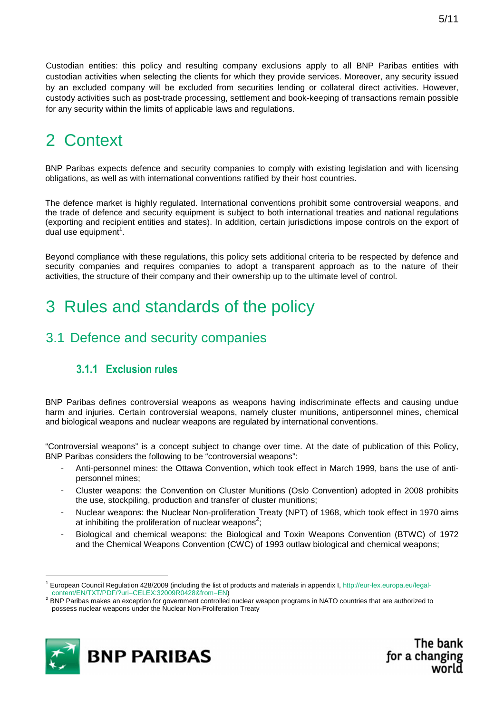Custodian entities: this policy and resulting company exclusions apply to all BNP Paribas entities with custodian activities when selecting the clients for which they provide services. Moreover, any security issued by an excluded company will be excluded from securities lending or collateral direct activities. However, custody activities such as post-trade processing, settlement and book-keeping of transactions remain possible for any security within the limits of applicable laws and regulations.

## 2 Context

BNP Paribas expects defence and security companies to comply with existing legislation and with licensing obligations, as well as with international conventions ratified by their host countries.

The defence market is highly regulated. International conventions prohibit some controversial weapons, and the trade of defence and security equipment is subject to both international treaties and national regulations (exporting and recipient entities and states). In addition, certain jurisdictions impose controls on the export of dual use equipment<sup>1</sup>.

Beyond compliance with these regulations, this policy sets additional criteria to be respected by defence and security companies and requires companies to adopt a transparent approach as to the nature of their activities, the structure of their company and their ownership up to the ultimate level of control.

## 3 Rules and standards of the policy

#### 3.1 Defence and security companies

#### **3.1.1 Exclusion rules**

BNP Paribas defines controversial weapons as weapons having indiscriminate effects and causing undue harm and injuries. Certain controversial weapons, namely cluster munitions, antipersonnel mines, chemical and biological weapons and nuclear weapons are regulated by international conventions.

"Controversial weapons" is a concept subject to change over time. At the date of publication of this Policy, BNP Paribas considers the following to be "controversial weapons":

- Anti-personnel mines: the Ottawa Convention, which took effect in March 1999, bans the use of antipersonnel mines;
- Cluster weapons: the Convention on Cluster Munitions (Oslo Convention) adopted in 2008 prohibits the use, stockpiling, production and transfer of cluster munitions;
- Nuclear weapons: the Nuclear Non-proliferation Treaty (NPT) of 1968, which took effect in 1970 aims at inhibiting the proliferation of nuclear weapons<sup>2</sup>;
- Biological and chemical weapons: the Biological and Toxin Weapons Convention (BTWC) of 1972 and the Chemical Weapons Convention (CWC) of 1993 outlaw biological and chemical weapons;

<sup>&</sup>lt;sup>2</sup> BNP Paribas makes an exception for government controlled nuclear weapon programs in NATO countries that are authorized to possess nuclear weapons under the Nuclear Non-Proliferation Treaty



 $\overline{a}$ 

<sup>1</sup> European Council Regulation 428/2009 (including the list of products and materials in appendix I, http://eur-lex.europa.eu/legalcontent/EN/TXT/PDF/?uri=CELEX:32009R0428&from=EN)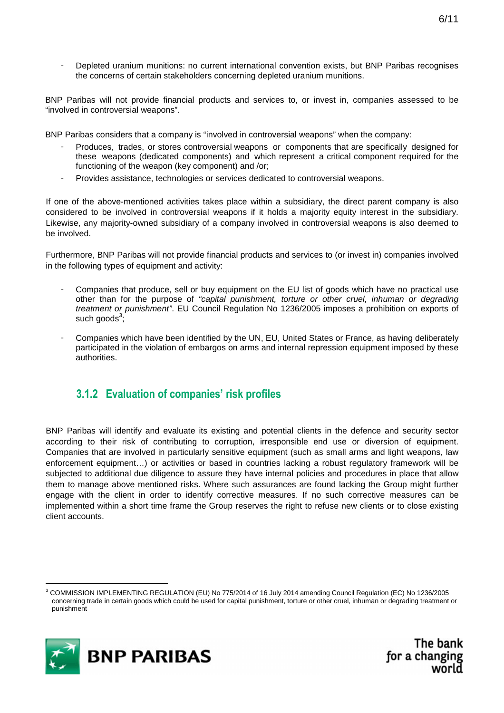Depleted uranium munitions: no current international convention exists, but BNP Paribas recognises the concerns of certain stakeholders concerning depleted uranium munitions.

BNP Paribas will not provide financial products and services to, or invest in, companies assessed to be "involved in controversial weapons".

BNP Paribas considers that a company is "involved in controversial weapons" when the company:

- Produces, trades, or stores controversial weapons or components that are specifically designed for these weapons (dedicated components) and which represent a critical component required for the functioning of the weapon (key component) and /or;
- Provides assistance, technologies or services dedicated to controversial weapons.

If one of the above-mentioned activities takes place within a subsidiary, the direct parent company is also considered to be involved in controversial weapons if it holds a majority equity interest in the subsidiary. Likewise, any majority-owned subsidiary of a company involved in controversial weapons is also deemed to be involved.

Furthermore, BNP Paribas will not provide financial products and services to (or invest in) companies involved in the following types of equipment and activity:

- Companies that produce, sell or buy equipment on the EU list of goods which have no practical use other than for the purpose of "capital punishment, torture or other cruel, inhuman or degrading treatment or punishment". EU Council Regulation No 1236/2005 imposes a prohibition on exports of such goods $3,7$
- Companies which have been identified by the UN, EU, United States or France, as having deliberately participated in the violation of embargos on arms and internal repression equipment imposed by these authorities.

#### **3.1.2 Evaluation of companies' risk profiles**

BNP Paribas will identify and evaluate its existing and potential clients in the defence and security sector according to their risk of contributing to corruption, irresponsible end use or diversion of equipment. Companies that are involved in particularly sensitive equipment (such as small arms and light weapons, law enforcement equipment…) or activities or based in countries lacking a robust regulatory framework will be subjected to additional due diligence to assure they have internal policies and procedures in place that allow them to manage above mentioned risks. Where such assurances are found lacking the Group might further engage with the client in order to identify corrective measures. If no such corrective measures can be implemented within a short time frame the Group reserves the right to refuse new clients or to close existing client accounts.

<sup>3</sup> COMMISSION IMPLEMENTING REGULATION (EU) No 775/2014 of 16 July 2014 amending Council Regulation (EC) No 1236/2005 concerning trade in certain goods which could be used for capital punishment, torture or other cruel, inhuman or degrading treatment or punishment



l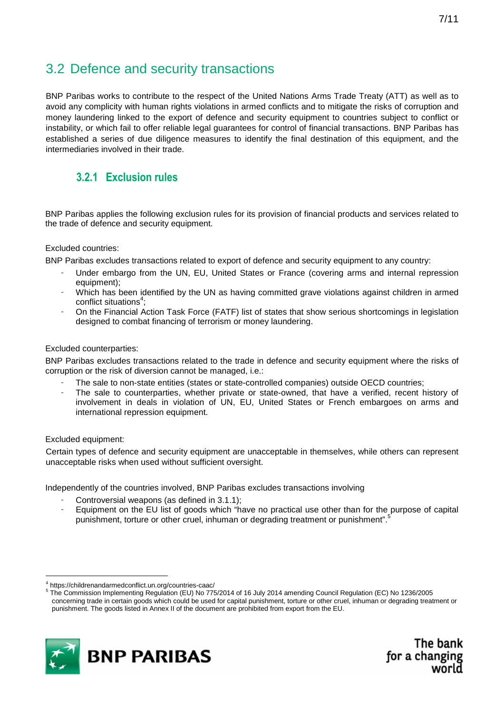### 3.2 Defence and security transactions

BNP Paribas works to contribute to the respect of the United Nations Arms Trade Treaty (ATT) as well as to avoid any complicity with human rights violations in armed conflicts and to mitigate the risks of corruption and money laundering linked to the export of defence and security equipment to countries subject to conflict or instability, or which fail to offer reliable legal guarantees for control of financial transactions. BNP Paribas has established a series of due diligence measures to identify the final destination of this equipment, and the intermediaries involved in their trade.

#### **3.2.1 Exclusion rules**

BNP Paribas applies the following exclusion rules for its provision of financial products and services related to the trade of defence and security equipment.

#### Excluded countries:

BNP Paribas excludes transactions related to export of defence and security equipment to any country:

- Under embargo from the UN, EU, United States or France (covering arms and internal repression equipment);
- Which has been identified by the UN as having committed grave violations against children in armed conflict situations<sup>4</sup>;
- On the Financial Action Task Force (FATF) list of states that show serious shortcomings in legislation designed to combat financing of terrorism or money laundering.

#### Excluded counterparties:

BNP Paribas excludes transactions related to the trade in defence and security equipment where the risks of corruption or the risk of diversion cannot be managed, i.e.:

- The sale to non-state entities (states or state-controlled companies) outside OECD countries;
- The sale to counterparties, whether private or state-owned, that have a verified, recent history of involvement in deals in violation of UN, EU, United States or French embargoes on arms and international repression equipment.

#### Excluded equipment:

 $\overline{a}$ 

Certain types of defence and security equipment are unacceptable in themselves, while others can represent unacceptable risks when used without sufficient oversight.

Independently of the countries involved, BNP Paribas excludes transactions involving

- Controversial weapons (as defined in 3.1.1);
- Equipment on the EU list of goods which "have no practical use other than for the purpose of capital punishment, torture or other cruel, inhuman or degrading treatment or punishment".

<sup>5</sup> The Commission Implementing Regulation (EU) No 775/2014 of 16 July 2014 amending Council Regulation (EC) No 1236/2005 concerning trade in certain goods which could be used for capital punishment, torture or other cruel, inhuman or degrading treatment or punishment. The goods listed in Annex II of the document are prohibited from export from the EU.



<sup>4</sup> https://childrenandarmedconflict.un.org/countries-caac/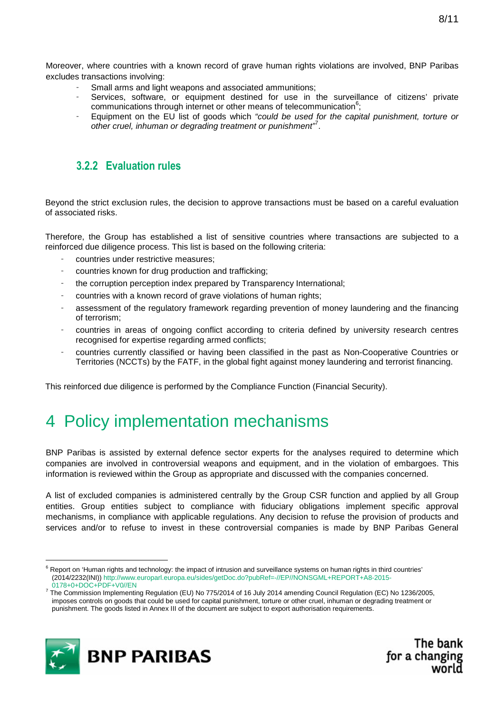- Small arms and light weapons and associated ammunitions;
- Services, software, or equipment destined for use in the surveillance of citizens' private communications through internet or other means of telecommunication $6$ ;
- Equipment on the EU list of goods which "could be used for the capital punishment, torture or other cruel, inhuman or degrading treatment or punishment $\vec{r}$ .

#### **3.2.2 Evaluation rules**

Beyond the strict exclusion rules, the decision to approve transactions must be based on a careful evaluation of associated risks.

Therefore, the Group has established a list of sensitive countries where transactions are subjected to a reinforced due diligence process. This list is based on the following criteria:

- countries under restrictive measures;
- countries known for drug production and trafficking;
- the corruption perception index prepared by Transparency International:
- countries with a known record of grave violations of human rights;
- assessment of the regulatory framework regarding prevention of money laundering and the financing of terrorism;
- countries in areas of ongoing conflict according to criteria defined by university research centres recognised for expertise regarding armed conflicts;
- countries currently classified or having been classified in the past as Non-Cooperative Countries or Territories (NCCTs) by the FATF, in the global fight against money laundering and terrorist financing.

This reinforced due diligence is performed by the Compliance Function (Financial Security).

## 4 Policy implementation mechanisms

BNP Paribas is assisted by external defence sector experts for the analyses required to determine which companies are involved in controversial weapons and equipment, and in the violation of embargoes. This information is reviewed within the Group as appropriate and discussed with the companies concerned.

A list of excluded companies is administered centrally by the Group CSR function and applied by all Group entities. Group entities subject to compliance with fiduciary obligations implement specific approval mechanisms, in compliance with applicable regulations. Any decision to refuse the provision of products and services and/or to refuse to invest in these controversial companies is made by BNP Paribas General

<sup>&</sup>lt;sup>7</sup> The Commission Implementing Regulation (EU) No 775/2014 of 16 July 2014 amending Council Regulation (EC) No 1236/2005, imposes controls on goods that could be used for capital punishment, torture or other cruel, inhuman or degrading treatment or punishment. The goods listed in Annex III of the document are subject to export authorisation requirements.



<sup>&</sup>lt;sup>6</sup> Report on 'Human rights and technology: the impact of intrusion and surveillance systems on human rights in third countries' (2014/2232(INI)) http://www.europarl.europa.eu/sides/getDoc.do?pubRef=-//EP//NONSGML+REPORT+A8-2015- 0178+0+DOC+PDF+V0//EN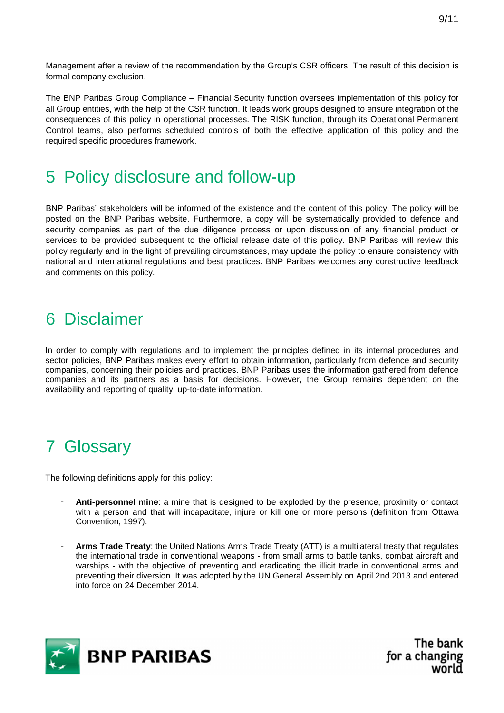Management after a review of the recommendation by the Group's CSR officers. The result of this decision is formal company exclusion.

The BNP Paribas Group Compliance – Financial Security function oversees implementation of this policy for all Group entities, with the help of the CSR function. It leads work groups designed to ensure integration of the consequences of this policy in operational processes. The RISK function, through its Operational Permanent Control teams, also performs scheduled controls of both the effective application of this policy and the required specific procedures framework.

## 5 Policy disclosure and follow-up

BNP Paribas' stakeholders will be informed of the existence and the content of this policy. The policy will be posted on the BNP Paribas website. Furthermore, a copy will be systematically provided to defence and security companies as part of the due diligence process or upon discussion of any financial product or services to be provided subsequent to the official release date of this policy. BNP Paribas will review this policy regularly and in the light of prevailing circumstances, may update the policy to ensure consistency with national and international regulations and best practices. BNP Paribas welcomes any constructive feedback and comments on this policy.

## 6 Disclaimer

In order to comply with regulations and to implement the principles defined in its internal procedures and sector policies, BNP Paribas makes every effort to obtain information, particularly from defence and security companies, concerning their policies and practices. BNP Paribas uses the information gathered from defence companies and its partners as a basis for decisions. However, the Group remains dependent on the availability and reporting of quality, up-to-date information.

## 7 Glossary

The following definitions apply for this policy:

- **Anti-personnel mine**: a mine that is designed to be exploded by the presence, proximity or contact with a person and that will incapacitate, injure or kill one or more persons (definition from Ottawa Convention, 1997).
- **Arms Trade Treaty**: the United Nations Arms Trade Treaty (ATT) is a multilateral treaty that regulates the international trade in conventional weapons - from small arms to battle tanks, combat aircraft and warships - with the objective of preventing and eradicating the illicit trade in conventional arms and preventing their diversion. It was adopted by the UN General Assembly on April 2nd 2013 and entered into force on 24 December 2014.

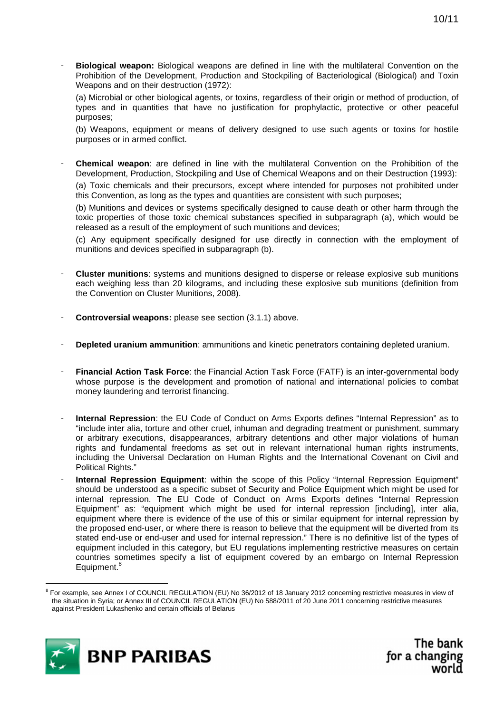- **Biological weapon:** Biological weapons are defined in line with the multilateral Convention on the Prohibition of the Development, Production and Stockpiling of Bacteriological (Biological) and Toxin Weapons and on their destruction (1972):

(a) Microbial or other biological agents, or toxins, regardless of their origin or method of production, of types and in quantities that have no justification for prophylactic, protective or other peaceful purposes;

(b) Weapons, equipment or means of delivery designed to use such agents or toxins for hostile purposes or in armed conflict.

- **Chemical weapon**: are defined in line with the multilateral Convention on the Prohibition of the Development, Production, Stockpiling and Use of Chemical Weapons and on their Destruction (1993):

(a) Toxic chemicals and their precursors, except where intended for purposes not prohibited under this Convention, as long as the types and quantities are consistent with such purposes;

(b) Munitions and devices or systems specifically designed to cause death or other harm through the toxic properties of those toxic chemical substances specified in subparagraph (a), which would be released as a result of the employment of such munitions and devices;

(c) Any equipment specifically designed for use directly in connection with the employment of munitions and devices specified in subparagraph (b).

- **Cluster munitions**: systems and munitions designed to disperse or release explosive sub munitions each weighing less than 20 kilograms, and including these explosive sub munitions (definition from the Convention on Cluster Munitions, 2008).
- **Controversial weapons:** please see section (3.1.1) above.
- **Depleted uranium ammunition**: ammunitions and kinetic penetrators containing depleted uranium.
- **Financial Action Task Force**: the Financial Action Task Force (FATF) is an inter-governmental body whose purpose is the development and promotion of national and international policies to combat money laundering and terrorist financing.
- **Internal Repression**: the EU Code of Conduct on Arms Exports defines "Internal Repression" as to "include inter alia, torture and other cruel, inhuman and degrading treatment or punishment, summary or arbitrary executions, disappearances, arbitrary detentions and other major violations of human rights and fundamental freedoms as set out in relevant international human rights instruments, including the Universal Declaration on Human Rights and the International Covenant on Civil and Political Rights."
- **Internal Repression Equipment**: within the scope of this Policy "Internal Repression Equipment" should be understood as a specific subset of Security and Police Equipment which might be used for internal repression. The EU Code of Conduct on Arms Exports defines "Internal Repression Equipment" as: "equipment which might be used for internal repression [including], inter alia, equipment where there is evidence of the use of this or similar equipment for internal repression by the proposed end-user, or where there is reason to believe that the equipment will be diverted from its stated end-use or end-user and used for internal repression." There is no definitive list of the types of equipment included in this category, but EU regulations implementing restrictive measures on certain countries sometimes specify a list of equipment covered by an embargo on Internal Repression Equipment.<sup>8</sup>

<sup>&</sup>lt;sup>8</sup> For example, see Annex I of COUNCIL REGULATION (EU) No 36/2012 of 18 January 2012 concerning restrictive measures in view of the situation in Syria; or Annex III of COUNCIL REGULATION (EU) No 588/2011 of 20 June 2011 concerning restrictive measures against President Lukashenko and certain officials of Belarus